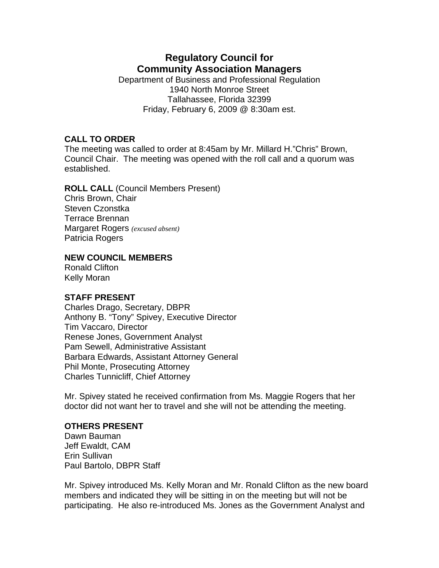# **Regulatory Council for Community Association Managers**

Department of Business and Professional Regulation 1940 North Monroe Street Tallahassee, Florida 32399 Friday, February 6, 2009 @ 8:30am est.

## **CALL TO ORDER**

The meeting was called to order at 8:45am by Mr. Millard H."Chris" Brown, Council Chair. The meeting was opened with the roll call and a quorum was established.

## **ROLL CALL** (Council Members Present)

Chris Brown, Chair Steven Czonstka Terrace Brennan Margaret Rogers *(excused absent)* Patricia Rogers

### **NEW COUNCIL MEMBERS**

Ronald Clifton Kelly Moran

## **STAFF PRESENT**

Charles Drago, Secretary, DBPR Anthony B. "Tony" Spivey, Executive Director Tim Vaccaro, Director Renese Jones, Government Analyst Pam Sewell, Administrative Assistant Barbara Edwards, Assistant Attorney General Phil Monte, Prosecuting Attorney Charles Tunnicliff, Chief Attorney

Mr. Spivey stated he received confirmation from Ms. Maggie Rogers that her doctor did not want her to travel and she will not be attending the meeting.

#### **OTHERS PRESENT**

Dawn Bauman Jeff Ewaldt, CAM Erin Sullivan Paul Bartolo, DBPR Staff

Mr. Spivey introduced Ms. Kelly Moran and Mr. Ronald Clifton as the new board members and indicated they will be sitting in on the meeting but will not be participating. He also re-introduced Ms. Jones as the Government Analyst and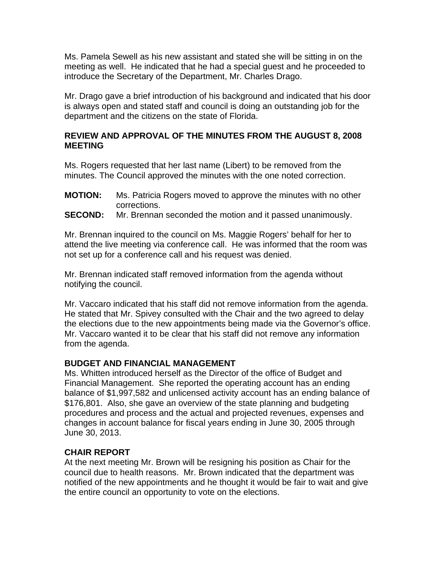Ms. Pamela Sewell as his new assistant and stated she will be sitting in on the meeting as well. He indicated that he had a special guest and he proceeded to introduce the Secretary of the Department, Mr. Charles Drago.

Mr. Drago gave a brief introduction of his background and indicated that his door is always open and stated staff and council is doing an outstanding job for the department and the citizens on the state of Florida.

## **REVIEW AND APPROVAL OF THE MINUTES FROM THE AUGUST 8, 2008 MEETING**

Ms. Rogers requested that her last name (Libert) to be removed from the minutes. The Council approved the minutes with the one noted correction.

- **MOTION:** Ms. Patricia Rogers moved to approve the minutes with no other corrections.
- **SECOND:** Mr. Brennan seconded the motion and it passed unanimously.

Mr. Brennan inquired to the council on Ms. Maggie Rogers' behalf for her to attend the live meeting via conference call. He was informed that the room was not set up for a conference call and his request was denied.

Mr. Brennan indicated staff removed information from the agenda without notifying the council.

Mr. Vaccaro indicated that his staff did not remove information from the agenda. He stated that Mr. Spivey consulted with the Chair and the two agreed to delay the elections due to the new appointments being made via the Governor's office. Mr. Vaccaro wanted it to be clear that his staff did not remove any information from the agenda.

## **BUDGET AND FINANCIAL MANAGEMENT**

Ms. Whitten introduced herself as the Director of the office of Budget and Financial Management. She reported the operating account has an ending balance of \$1,997,582 and unlicensed activity account has an ending balance of \$176,801. Also, she gave an overview of the state planning and budgeting procedures and process and the actual and projected revenues, expenses and changes in account balance for fiscal years ending in June 30, 2005 through June 30, 2013.

## **CHAIR REPORT**

At the next meeting Mr. Brown will be resigning his position as Chair for the council due to health reasons. Mr. Brown indicated that the department was notified of the new appointments and he thought it would be fair to wait and give the entire council an opportunity to vote on the elections.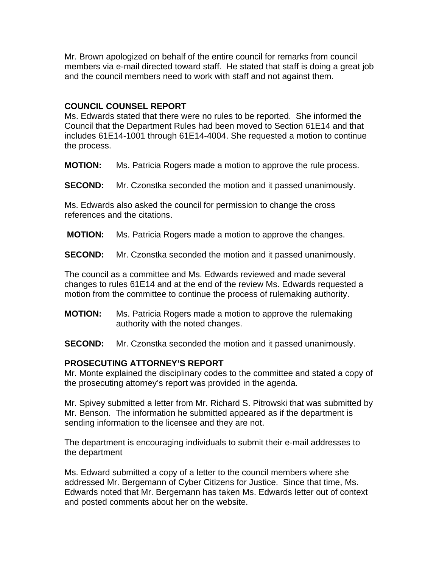Mr. Brown apologized on behalf of the entire council for remarks from council members via e-mail directed toward staff. He stated that staff is doing a great job and the council members need to work with staff and not against them.

#### **COUNCIL COUNSEL REPORT**

Ms. Edwards stated that there were no rules to be reported. She informed the Council that the Department Rules had been moved to Section 61E14 and that includes 61E14-1001 through 61E14-4004. She requested a motion to continue the process.

**MOTION:** Ms. Patricia Rogers made a motion to approve the rule process.

**SECOND:** Mr. Czonstka seconded the motion and it passed unanimously.

Ms. Edwards also asked the council for permission to change the cross references and the citations.

**MOTION:** Ms. Patricia Rogers made a motion to approve the changes.

**SECOND:** Mr. Czonstka seconded the motion and it passed unanimously.

The council as a committee and Ms. Edwards reviewed and made several changes to rules 61E14 and at the end of the review Ms. Edwards requested a motion from the committee to continue the process of rulemaking authority.

**MOTION:** Ms. Patricia Rogers made a motion to approve the rulemaking authority with the noted changes.

**SECOND:** Mr. Czonstka seconded the motion and it passed unanimously.

#### **PROSECUTING ATTORNEY'S REPORT**

Mr. Monte explained the disciplinary codes to the committee and stated a copy of the prosecuting attorney's report was provided in the agenda.

Mr. Spivey submitted a letter from Mr. Richard S. Pitrowski that was submitted by Mr. Benson. The information he submitted appeared as if the department is sending information to the licensee and they are not.

The department is encouraging individuals to submit their e-mail addresses to the department

Ms. Edward submitted a copy of a letter to the council members where she addressed Mr. Bergemann of Cyber Citizens for Justice. Since that time, Ms. Edwards noted that Mr. Bergemann has taken Ms. Edwards letter out of context and posted comments about her on the website.